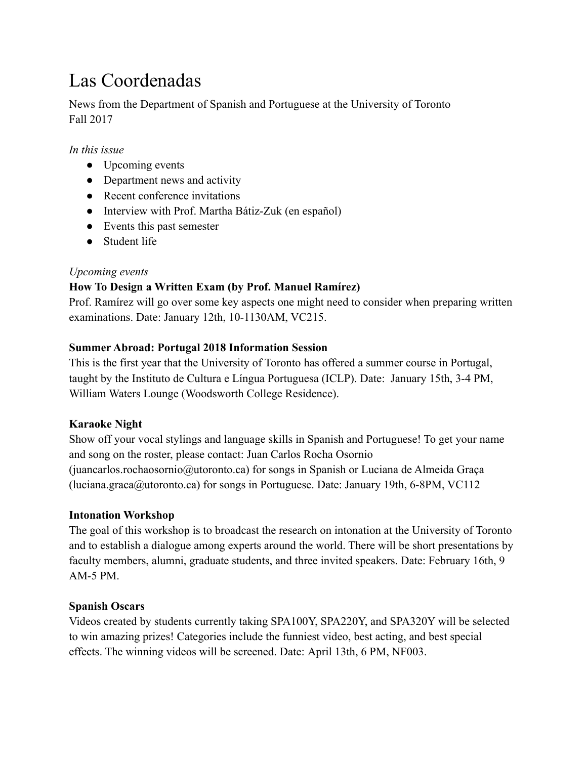# Las Coordenadas

News from the Department of Spanish and Portuguese at the University of Toronto Fall 2017

## *In this issue*

- Upcoming events
- Department news and activity
- Recent conference invitations
- Interview with Prof. Martha Bátiz-Zuk (en español)
- Events this past semester
- Student life

## *Upcoming events*

# **How To Design a Written Exam (by Prof. Manuel Ramírez)**

Prof. Ramírez will go over some key aspects one might need to consider when preparing written examinations. Date: January 12th, 10-1130AM, VC215.

## **Summer Abroad: Portugal 2018 Information Session**

This is the first year that the University of Toronto has offered a summer course in Portugal, taught by the Instituto de Cultura e Língua Portuguesa (ICLP). Date: January 15th, 3-4 PM, William Waters Lounge (Woodsworth College Residence).

## **Karaoke Night**

Show off your vocal stylings and language skills in Spanish and Portuguese! To get your name and song on the roster, please contact: Juan Carlos Rocha Osornio (juancarlos.rochaosornio@utoronto.ca) for songs in Spanish or Luciana de Almeida Graça (luciana.graca@utoronto.ca) for songs in Portuguese. Date: January 19th, 6-8PM, VC112

## **Intonation Workshop**

The goal of this workshop is to broadcast the research on intonation at the University of Toronto and to establish a dialogue among experts around the world. There will be short presentations by faculty members, alumni, graduate students, and three invited speakers. Date: February 16th, 9 AM-5 PM.

## **Spanish Oscars**

Videos created by students currently taking SPA100Y, SPA220Y, and SPA320Y will be selected to win amazing prizes! Categories include the funniest video, best acting, and best special effects. The winning videos will be screened. Date: April 13th, 6 PM, NF003.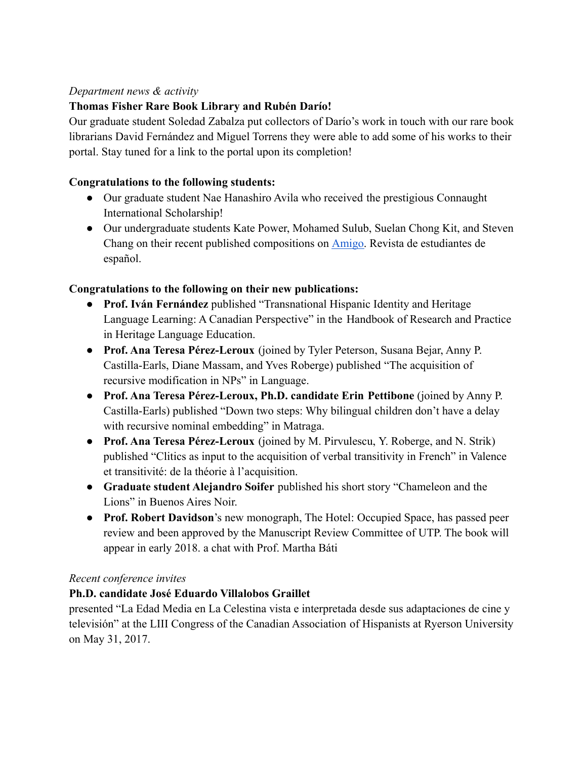## *Department news & activity*

# **Thomas Fisher Rare Book Library and Rubén Darío!**

Our graduate student Soledad Zabalza put collectors of Darío's work in touch with our rare book librarians David Fernández and Miguel Torrens they were able to add some of his works to their portal. Stay tuned for a link to the portal upon its completion!

## **Congratulations to the following students:**

- Our graduate student Nae Hanashiro Avila who received the prestigious Connaught International Scholarship!
- Our undergraduate students Kate Power, Mohamed Sulub, Suelan Chong Kit, and Steven Chang on their recent published compositions on [Amigo.](https://en.calameo.com/read/0032777591f162f067219) Revista de estudiantes de español.

## **Congratulations to the following on their new publications:**

- **Prof. Iván Fernández** published "Transnational Hispanic Identity and Heritage Language Learning: A Canadian Perspective" in the Handbook of Research and Practice in Heritage Language Education.
- **Prof. Ana Teresa Pérez-Leroux** (joined by Tyler Peterson, Susana Bejar, Anny P. Castilla-Earls, Diane Massam, and Yves Roberge) published "The acquisition of recursive modification in NPs" in Language.
- **Prof. Ana Teresa Pérez-Leroux, Ph.D. candidate Erin Pettibone** (joined by Anny P. Castilla-Earls) published "Down two steps: Why bilingual children don't have a delay with recursive nominal embedding" in Matraga.
- **Prof. Ana Teresa Pérez-Leroux** (joined by M. Pirvulescu, Y. Roberge, and N. Strik) published "Clitics as input to the acquisition of verbal transitivity in French" in Valence et transitivité: de la théorie à l'acquisition.
- **Graduate student Alejandro Soifer** published his short story "Chameleon and the Lions" in Buenos Aires Noir.
- **Prof. Robert Davidson**'s new monograph, The Hotel: Occupied Space, has passed peer review and been approved by the Manuscript Review Committee of UTP. The book will appear in early 2018. a chat with Prof. Martha Báti

## *Recent conference invites*

# **Ph.D. candidate José Eduardo Villalobos Graillet**

presented "La Edad Media en La Celestina vista e interpretada desde sus adaptaciones de cine y televisión" at the LIII Congress of the Canadian Association of Hispanists at Ryerson University on May 31, 2017.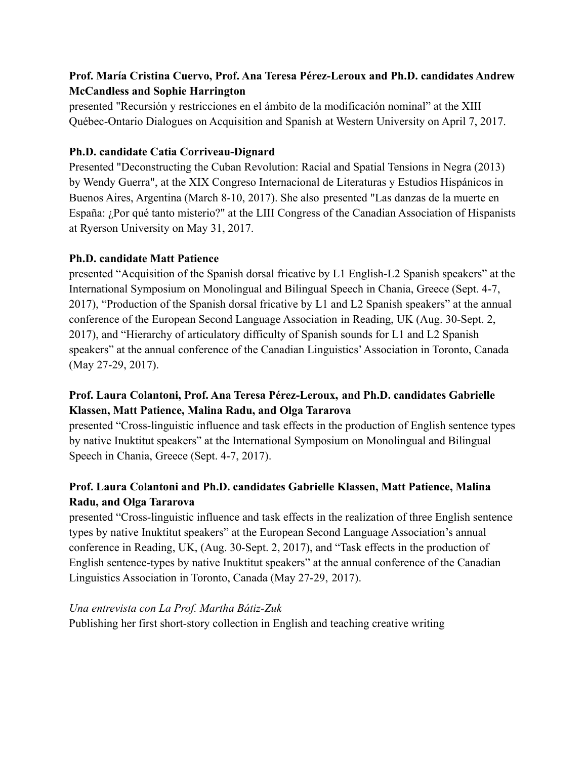# **Prof. María Cristina Cuervo, Prof. Ana Teresa Pérez-Leroux and Ph.D. candidates Andrew McCandless and Sophie Harrington**

presented "Recursión y restricciones en el ámbito de la modificación nominal" at the XIII Québec-Ontario Dialogues on Acquisition and Spanish at Western University on April 7, 2017.

## **Ph.D. candidate Catia Corriveau-Dignard**

Presented "Deconstructing the Cuban Revolution: Racial and Spatial Tensions in Negra (2013) by Wendy Guerra", at the XIX Congreso Internacional de Literaturas y Estudios Hispánicos in Buenos Aires, Argentina (March 8-10, 2017). She also presented "Las danzas de la muerte en España: ¿Por qué tanto misterio?" at the LIII Congress of the Canadian Association of Hispanists at Ryerson University on May 31, 2017.

# **Ph.D. candidate Matt Patience**

presented "Acquisition of the Spanish dorsal fricative by L1 English-L2 Spanish speakers" at the International Symposium on Monolingual and Bilingual Speech in Chania, Greece (Sept. 4-7, 2017), "Production of the Spanish dorsal fricative by L1 and L2 Spanish speakers" at the annual conference of the European Second Language Association in Reading, UK (Aug. 30-Sept. 2, 2017), and "Hierarchy of articulatory difficulty of Spanish sounds for L1 and L2 Spanish speakers" at the annual conference of the Canadian Linguistics' Association in Toronto, Canada (May 27-29, 2017).

# **Prof. Laura Colantoni, Prof. Ana Teresa Pérez-Leroux, and Ph.D. candidates Gabrielle Klassen, Matt Patience, Malina Radu, and Olga Tararova**

presented "Cross-linguistic influence and task effects in the production of English sentence types by native Inuktitut speakers" at the International Symposium on Monolingual and Bilingual Speech in Chania, Greece (Sept. 4-7, 2017).

# **Prof. Laura Colantoni and Ph.D. candidates Gabrielle Klassen, Matt Patience, Malina Radu, and Olga Tararova**

presented "Cross-linguistic influence and task effects in the realization of three English sentence types by native Inuktitut speakers" at the European Second Language Association's annual conference in Reading, UK, (Aug. 30-Sept. 2, 2017), and "Task effects in the production of English sentence-types by native Inuktitut speakers" at the annual conference of the Canadian Linguistics Association in Toronto, Canada (May 27-29, 2017).

## *Una entrevista con La Prof. Martha Bátiz-Zuk*

Publishing her first short-story collection in English and teaching creative writing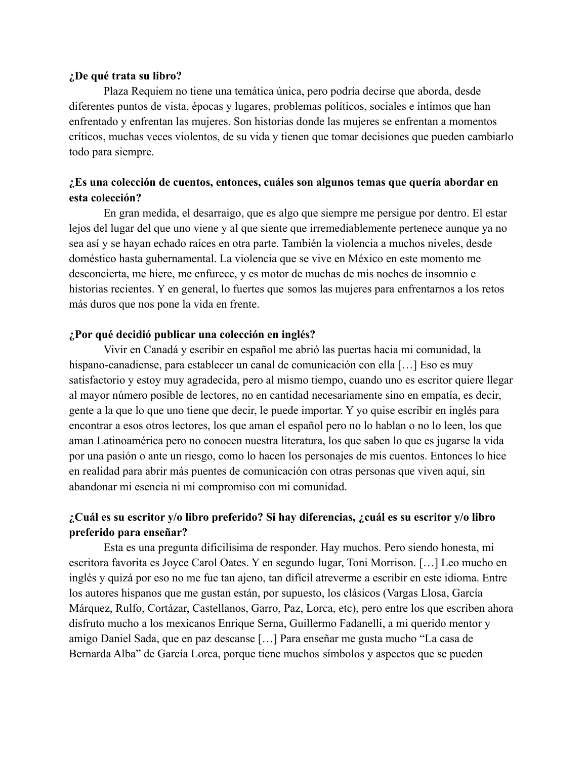#### **¿De qué trata su libro?**

Plaza Requiem no tiene una temática única, pero podría decirse que aborda, desde diferentes puntos de vista, épocas y lugares, problemas políticos, sociales e íntimos que han enfrentado y enfrentan las mujeres. Son historias donde las mujeres se enfrentan a momentos críticos, muchas veces violentos, de su vida y tienen que tomar decisiones que pueden cambiarlo todo para siempre.

#### **¿Es una colección de cuentos, entonces, cuáles son algunos temas que quería abordar en esta colección?**

En gran medida, el desarraigo, que es algo que siempre me persigue por dentro. El estar lejos del lugar del que uno viene y al que siente que irremediablemente pertenece aunque ya no sea así y se hayan echado raíces en otra parte. También la violencia a muchos niveles, desde doméstico hasta gubernamental. La violencia que se vive en México en este momento me desconcierta, me hiere, me enfurece, y es motor de muchas de mis noches de insomnio e historias recientes. Y en general, lo fuertes que somos las mujeres para enfrentarnos a los retos más duros que nos pone la vida en frente.

#### **¿Por qué decidió publicar una colección en inglés?**

Vivir en Canadá y escribir en español me abrió las puertas hacia mi comunidad, la hispano-canadiense, para establecer un canal de comunicación con ella […] Eso es muy satisfactorio y estoy muy agradecida, pero al mismo tiempo, cuando uno es escritor quiere llegar al mayor número posible de lectores, no en cantidad necesariamente sino en empatía, es decir, gente a la que lo que uno tiene que decir, le puede importar. Y yo quise escribir en inglés para encontrar a esos otros lectores, los que aman el español pero no lo hablan o no lo leen, los que aman Latinoamérica pero no conocen nuestra literatura, los que saben lo que es jugarse la vida por una pasión o ante un riesgo, como lo hacen los personajes de mis cuentos. Entonces lo hice en realidad para abrir más puentes de comunicación con otras personas que viven aquí, sin abandonar mi esencia ni mi compromiso con mi comunidad.

## **¿Cuál es su escritor y/o libro preferido? Si hay diferencias, ¿cuál es su escritor y/o libro preferido para enseñar?**

Esta es una pregunta dificilísima de responder. Hay muchos. Pero siendo honesta, mi escritora favorita es Joyce Carol Oates. Y en segundo lugar, Toni Morrison. […] Leo mucho en inglés y quizá por eso no me fue tan ajeno, tan difícil atreverme a escribir en este idioma. Entre los autores hispanos que me gustan están, por supuesto, los clásicos (Vargas Llosa, García Márquez, Rulfo, Cortázar, Castellanos, Garro, Paz, Lorca, etc), pero entre los que escriben ahora disfruto mucho a los mexicanos Enrique Serna, Guillermo Fadanelli, a mi querido mentor y amigo Daniel Sada, que en paz descanse […] Para enseñar me gusta mucho "La casa de Bernarda Alba" de García Lorca, porque tiene muchos símbolos y aspectos que se pueden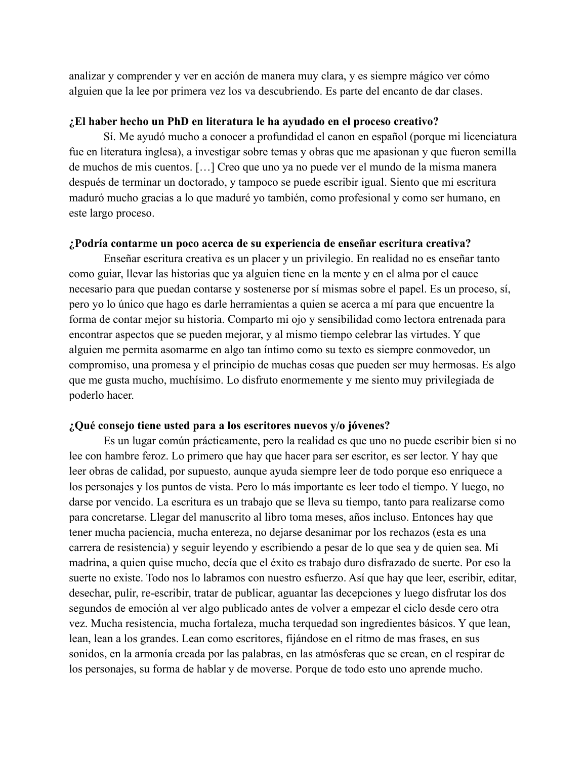analizar y comprender y ver en acción de manera muy clara, y es siempre mágico ver cómo alguien que la lee por primera vez los va descubriendo. Es parte del encanto de dar clases.

#### **¿El haber hecho un PhD en literatura le ha ayudado en el proceso creativo?**

Sí. Me ayudó mucho a conocer a profundidad el canon en español (porque mi licenciatura fue en literatura inglesa), a investigar sobre temas y obras que me apasionan y que fueron semilla de muchos de mis cuentos. […] Creo que uno ya no puede ver el mundo de la misma manera después de terminar un doctorado, y tampoco se puede escribir igual. Siento que mi escritura maduró mucho gracias a lo que maduré yo también, como profesional y como ser humano, en este largo proceso.

#### **¿Podría contarme un poco acerca de su experiencia de enseñar escritura creativa?**

Enseñar escritura creativa es un placer y un privilegio. En realidad no es enseñar tanto como guiar, llevar las historias que ya alguien tiene en la mente y en el alma por el cauce necesario para que puedan contarse y sostenerse por sí mismas sobre el papel. Es un proceso, sí, pero yo lo único que hago es darle herramientas a quien se acerca a mí para que encuentre la forma de contar mejor su historia. Comparto mi ojo y sensibilidad como lectora entrenada para encontrar aspectos que se pueden mejorar, y al mismo tiempo celebrar las virtudes. Y que alguien me permita asomarme en algo tan íntimo como su texto es siempre conmovedor, un compromiso, una promesa y el principio de muchas cosas que pueden ser muy hermosas. Es algo que me gusta mucho, muchísimo. Lo disfruto enormemente y me siento muy privilegiada de poderlo hacer.

#### **¿Qué consejo tiene usted para a los escritores nuevos y/o jóvenes?**

Es un lugar común prácticamente, pero la realidad es que uno no puede escribir bien si no lee con hambre feroz. Lo primero que hay que hacer para ser escritor, es ser lector. Y hay que leer obras de calidad, por supuesto, aunque ayuda siempre leer de todo porque eso enriquece a los personajes y los puntos de vista. Pero lo más importante es leer todo el tiempo. Y luego, no darse por vencido. La escritura es un trabajo que se lleva su tiempo, tanto para realizarse como para concretarse. Llegar del manuscrito al libro toma meses, años incluso. Entonces hay que tener mucha paciencia, mucha entereza, no dejarse desanimar por los rechazos (esta es una carrera de resistencia) y seguir leyendo y escribiendo a pesar de lo que sea y de quien sea. Mi madrina, a quien quise mucho, decía que el éxito es trabajo duro disfrazado de suerte. Por eso la suerte no existe. Todo nos lo labramos con nuestro esfuerzo. Así que hay que leer, escribir, editar, desechar, pulir, re-escribir, tratar de publicar, aguantar las decepciones y luego disfrutar los dos segundos de emoción al ver algo publicado antes de volver a empezar el ciclo desde cero otra vez. Mucha resistencia, mucha fortaleza, mucha terquedad son ingredientes básicos. Y que lean, lean, lean a los grandes. Lean como escritores, fijándose en el ritmo de mas frases, en sus sonidos, en la armonía creada por las palabras, en las atmósferas que se crean, en el respirar de los personajes, su forma de hablar y de moverse. Porque de todo esto uno aprende mucho.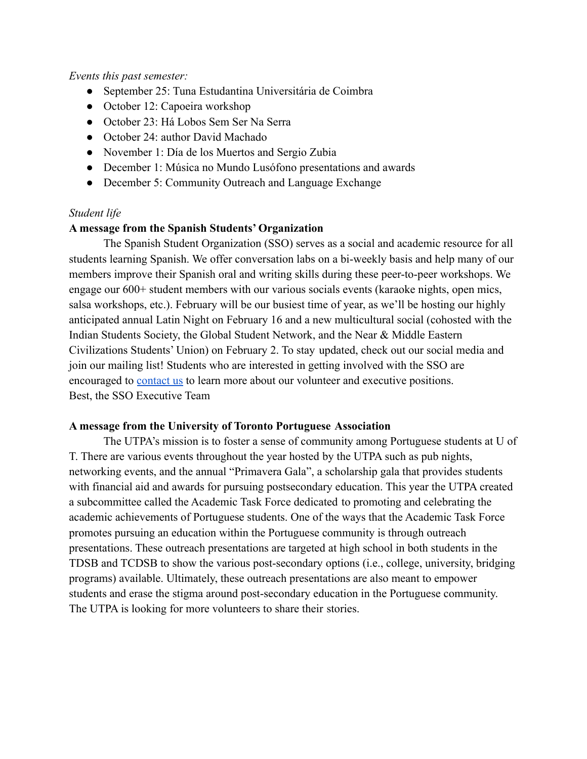#### *Events this past semester:*

- September 25: Tuna Estudantina Universitária de Coimbra
- October 12: Capoeira workshop
- October 23: Há Lobos Sem Ser Na Serra
- October 24: author David Machado
- November 1: Día de los Muertos and Sergio Zubia
- December 1: Música no Mundo Lusófono presentations and awards
- December 5: Community Outreach and Language Exchange

#### *Student life*

#### **A message from the Spanish Students' Organization**

The Spanish Student Organization (SSO) serves as a social and academic resource for all students learning Spanish. We offer conversation labs on a bi-weekly basis and help many of our members improve their Spanish oral and writing skills during these peer-to-peer workshops. We engage our 600+ student members with our various socials events (karaoke nights, open mics, salsa workshops, etc.). February will be our busiest time of year, as we'll be hosting our highly anticipated annual Latin Night on February 16 and a new multicultural social (cohosted with the Indian Students Society, the Global Student Network, and the Near & Middle Eastern Civilizations Students' Union) on February 2. To stay updated, check out our social media and join our mailing list! Students who are interested in getting involved with the SSO are encouraged to [contact us](mailto:spanishorganization.uoft@gmail.com) to learn more about our volunteer and executive positions. Best, the SSO Executive Team

#### **A message from the University of Toronto Portuguese Association**

The UTPA's mission is to foster a sense of community among Portuguese students at U of T. There are various events throughout the year hosted by the UTPA such as pub nights, networking events, and the annual "Primavera Gala", a scholarship gala that provides students with financial aid and awards for pursuing postsecondary education. This year the UTPA created a subcommittee called the Academic Task Force dedicated to promoting and celebrating the academic achievements of Portuguese students. One of the ways that the Academic Task Force promotes pursuing an education within the Portuguese community is through outreach presentations. These outreach presentations are targeted at high school in both students in the TDSB and TCDSB to show the various post-secondary options (i.e., college, university, bridging programs) available. Ultimately, these outreach presentations are also meant to empower students and erase the stigma around post-secondary education in the Portuguese community. The UTPA is looking for more volunteers to share their stories.